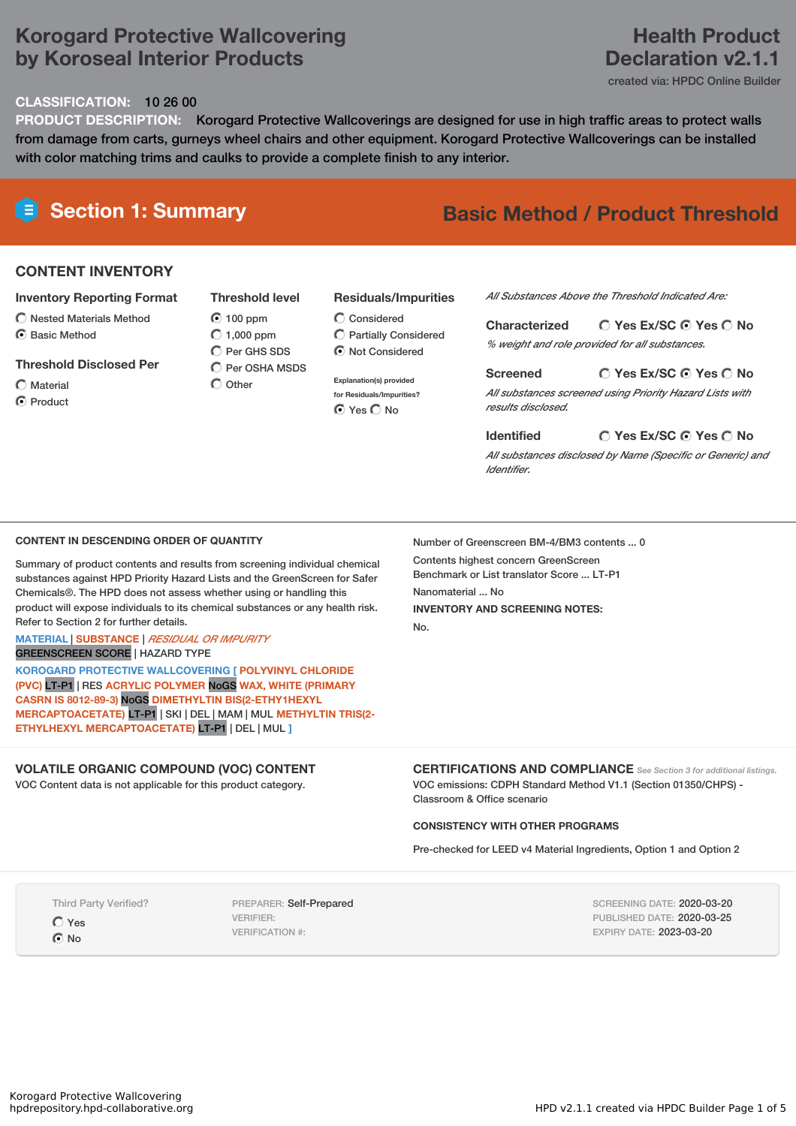# **Korogard Protective Wallcovering by Koroseal Interior Products**

# **Health Product Declaration v2.1.1**

created via: HPDC Online Builder

### **CLASSIFICATION:** 10 26 00

**PRODUCT DESCRIPTION:** Korogard Protective Wallcoverings are designed for use in high traffic areas to protect walls from damage from carts, gurneys wheel chairs and other equipment. Korogard Protective Wallcoverings can be installed with color matching trims and caulks to provide a complete finish to any interior.

# **Section 1: Summary Basic Method / Product Threshold**

## **CONTENT INVENTORY**

#### **Inventory Reporting Format**

- $\bigcirc$  Nested Materials Method
- C Rasic Method
- **Threshold Disclosed Per**
- Material **O** Product

 $\odot$  100 ppm  $O$  1,000 ppm C Per GHS SDS  $\overline{C}$  Per OSHA MSDS  $\bigcap$  Other

**Threshold level**

## **Residuals/Impurities**

- Considered Partially Considered  $\bigcirc$  Not Considered
- **Explanation(s) provided for Residuals/Impurities? O** Yes O No

#### *All Substances Above the Threshold Indicated Are:*

**Yes Ex/SC Yes No Characterized** *% weight and role provided for all substances.*

#### **Screened**

*All substances screened using Priority Hazard Lists with results disclosed.*

**Yes Ex/SC Yes No**

#### **Yes Ex/SC Yes No Identified**

*All substances disclosed by Name (Specific or Generic) and Identifier.*

### **CONTENT IN DESCENDING ORDER OF QUANTITY**

Summary of product contents and results from screening individual chemical substances against HPD Priority Hazard Lists and the GreenScreen for Safer Chemicals®. The HPD does not assess whether using or handling this product will expose individuals to its chemical substances or any health risk. Refer to Section 2 for further details.

#### **MATERIAL** | **SUBSTANCE** | *RESIDUAL OR IMPURITY* GREENSCREEN SCORE | HAZARD TYPE

**KOROGARD PROTECTIVE WALLCOVERING [ POLYVINYL CHLORIDE (PVC)** LT-P1 | RES **ACRYLIC POLYMER** NoGS **WAX, WHITE (PRIMARY CASRN IS 8012-89-3)** NoGS **DIMETHYLTIN BIS(2-ETHY1HEXYL MERCAPTOACETATE)** LT-P1 | SKI | DEL | MAM | MUL **METHYLTIN TRIS(2- ETHYLHEXYL MERCAPTOACETATE)** LT-P1 | DEL | MUL **]**

### **VOLATILE ORGANIC COMPOUND (VOC) CONTENT**

VOC Content data is not applicable for this product category.

Number of Greenscreen BM-4/BM3 contents ... 0 Contents highest concern GreenScreen Benchmark or List translator Score ... LT-P1 Nanomaterial ... No **INVENTORY AND SCREENING NOTES:** No.

**CERTIFICATIONS AND COMPLIANCE** *See Section <sup>3</sup> for additional listings.* VOC emissions: CDPH Standard Method V1.1 (Section 01350/CHPS) - Classroom & Office scenario

### **CONSISTENCY WITH OTHER PROGRAMS**

Pre-checked for LEED v4 Material Ingredients, Option 1 and Option 2

Third Party Verified?

Yes  $\odot$  No

PREPARER: Self-Prepared VERIFIER: VERIFICATION #:

SCREENING DATE: 2020-03-20 PUBLISHED DATE: 2020-03-25 EXPIRY DATE: 2023-03-20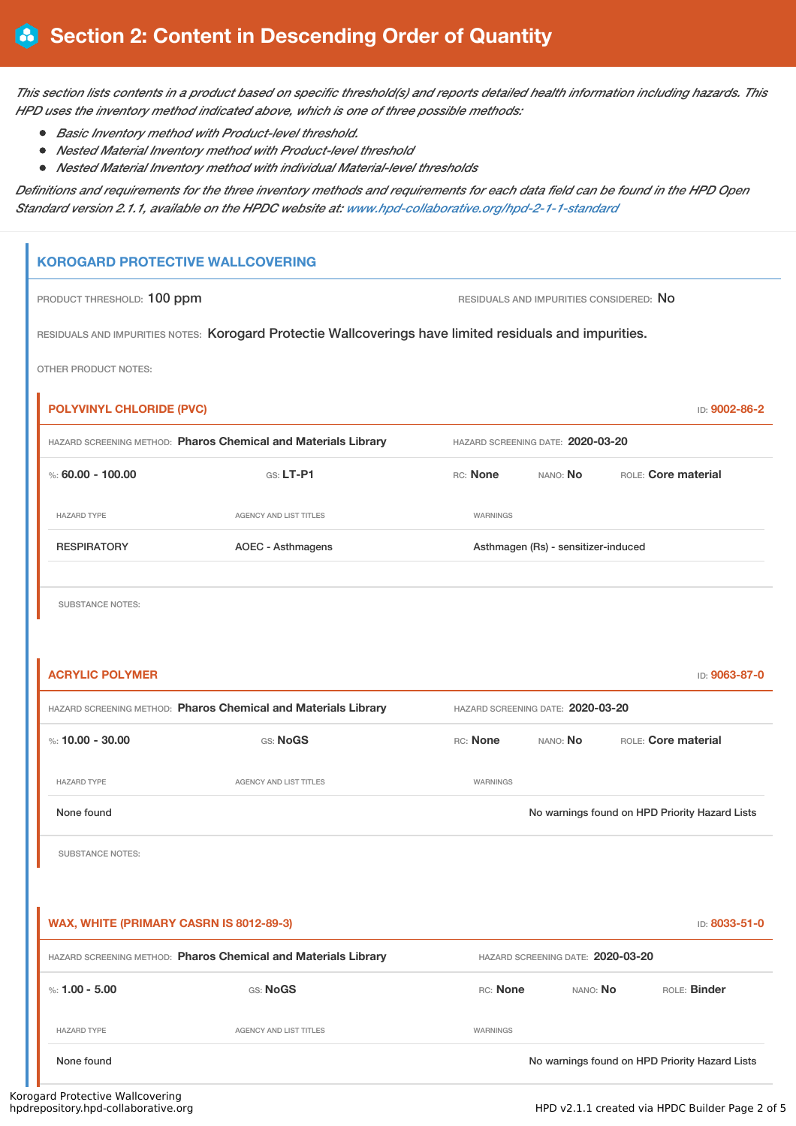This section lists contents in a product based on specific threshold(s) and reports detailed health information including hazards. This *HPD uses the inventory method indicated above, which is one of three possible methods:*

- *Basic Inventory method with Product-level threshold.*
- *Nested Material Inventory method with Product-level threshold*
- *Nested Material Inventory method with individual Material-level thresholds*

Definitions and requirements for the three inventory methods and requirements for each data field can be found in the HPD Open *Standard version 2.1.1, available on the HPDC website at: [www.hpd-collaborative.org/hpd-2-1-1-standard](https://www.hpd-collaborative.org/hpd-2-1-1-standard)*

# **KOROGARD PROTECTIVE WALLCOVERING**

PRODUCT THRESHOLD: 100 ppm **RESIDUALS AND IMPURITIES CONSIDERED:** No

RESIDUALS AND IMPURITIES NOTES: Korogard Protectie Wallcoverings have limited residuals and impurities.

OTHER PRODUCT NOTES:

| <b>POLYVINYL CHLORIDE (PVC)</b><br>ID: 9002-86-2               |                        |                                     |                 |                            |  |
|----------------------------------------------------------------|------------------------|-------------------------------------|-----------------|----------------------------|--|
| HAZARD SCREENING METHOD: Pharos Chemical and Materials Library |                        | HAZARD SCREENING DATE: 2020-03-20   |                 |                            |  |
| %: 60.00 - 100.00                                              | $GS: LT-PI$            | RC: None                            | NANO: <b>No</b> | <b>ROLE:</b> Core material |  |
| <b>HAZARD TYPE</b>                                             | AGENCY AND LIST TITLES | WARNINGS                            |                 |                            |  |
| <b>RESPIRATORY</b>                                             | AOEC - Asthmagens      | Asthmagen (Rs) - sensitizer-induced |                 |                            |  |
|                                                                |                        |                                     |                 |                            |  |

SUBSTANCE NOTES:

| <b>ACRYLIC POLYMER</b>                                         |                                                                |                                   |                                   | ID: 9063-87-0                                  |
|----------------------------------------------------------------|----------------------------------------------------------------|-----------------------------------|-----------------------------------|------------------------------------------------|
|                                                                | HAZARD SCREENING METHOD: Pharos Chemical and Materials Library |                                   | HAZARD SCREENING DATE: 2020-03-20 |                                                |
| %: $10.00 - 30.00$                                             | GS: NoGS                                                       | RC: None                          | NANO: No                          | ROLE: Core material                            |
| <b>HAZARD TYPE</b>                                             | <b>AGENCY AND LIST TITLES</b>                                  | WARNINGS                          |                                   |                                                |
| None found                                                     |                                                                |                                   |                                   | No warnings found on HPD Priority Hazard Lists |
| <b>SUBSTANCE NOTES:</b>                                        |                                                                |                                   |                                   |                                                |
|                                                                |                                                                |                                   |                                   |                                                |
| WAX, WHITE (PRIMARY CASRN IS 8012-89-3)                        |                                                                |                                   |                                   | ID: 8033-51-0                                  |
| HAZARD SCREENING METHOD: Pharos Chemical and Materials Library |                                                                | HAZARD SCREENING DATE: 2020-03-20 |                                   |                                                |
| %: $1.00 - 5.00$                                               | GS: NoGS                                                       | RC: None                          | NANO: NO                          | ROLE: Binder                                   |
| <b>HAZARD TYPE</b>                                             | <b>AGENCY AND LIST TITLES</b>                                  | WARNINGS                          |                                   |                                                |
| None found                                                     |                                                                |                                   |                                   | No warnings found on HPD Priority Hazard Lists |
| ad Barrier attice MM all construction                          |                                                                |                                   |                                   |                                                |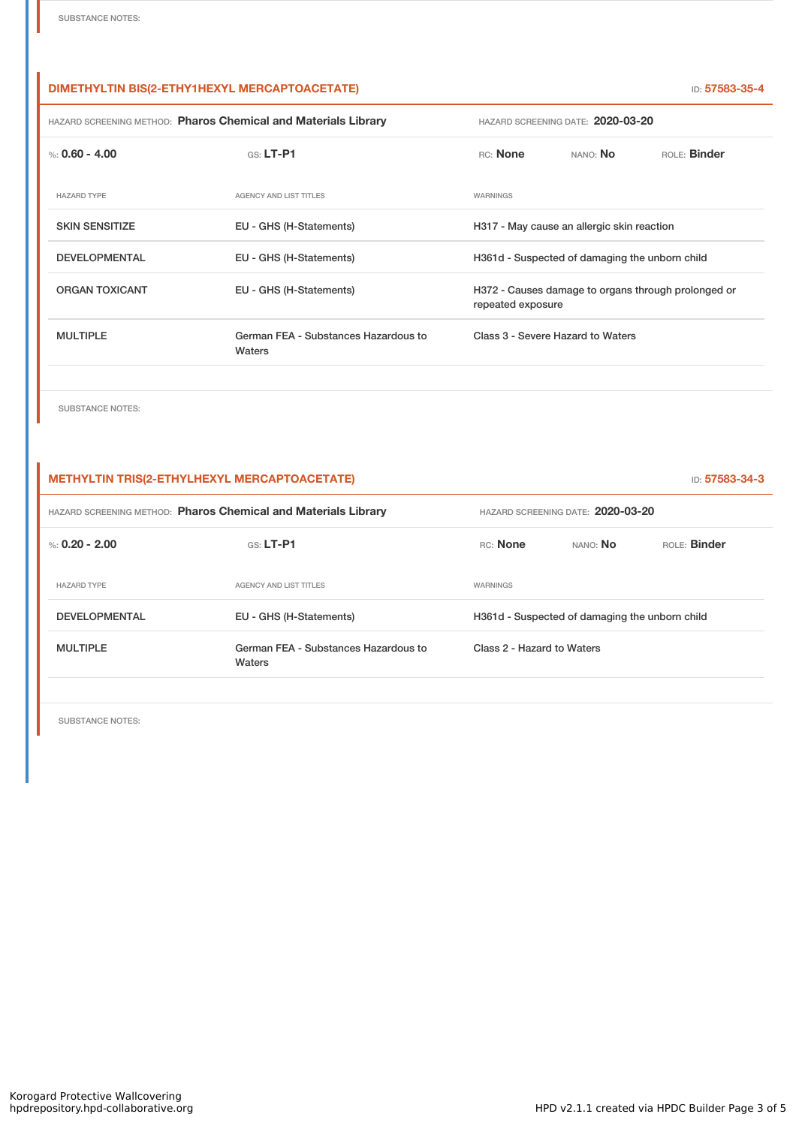## **DIMETHYLTIN BIS(2-ETHY1HEXYL MERCAPTOACETATE)** ID: **57583-35-4**

| HAZARD SCREENING METHOD: Pharos Chemical and Materials Library |                                                                          | HAZARD SCREENING DATE: 2020-03-20 |                                   |  |
|----------------------------------------------------------------|--------------------------------------------------------------------------|-----------------------------------|-----------------------------------|--|
| $G.S.$ LT-P1                                                   | RC: None                                                                 | NANO: No                          | ROLE: Binder                      |  |
| <b>AGENCY AND LIST TITLES</b>                                  | WARNINGS                                                                 |                                   |                                   |  |
| EU - GHS (H-Statements)                                        | H317 - May cause an allergic skin reaction                               |                                   |                                   |  |
| EU - GHS (H-Statements)                                        | H361d - Suspected of damaging the unborn child                           |                                   |                                   |  |
| EU - GHS (H-Statements)                                        | H372 - Causes damage to organs through prolonged or<br>repeated exposure |                                   |                                   |  |
| German FEA - Substances Hazardous to<br>Waters                 |                                                                          |                                   |                                   |  |
|                                                                |                                                                          |                                   | Class 3 - Severe Hazard to Waters |  |

SUBSTANCE NOTES:

| <b>METHYLTIN TRIS(2-ETHYLHEXYL MERCAPTOACETATE)</b><br>ID: 57583-34-3 |                                                |                                                |                                   |              |
|-----------------------------------------------------------------------|------------------------------------------------|------------------------------------------------|-----------------------------------|--------------|
| HAZARD SCREENING METHOD: Pharos Chemical and Materials Library        |                                                |                                                | HAZARD SCREENING DATE: 2020-03-20 |              |
| %: $0.20 - 2.00$                                                      | $GS: LT-P1$                                    | RC: None                                       | NANO: No                          | ROLE: Binder |
| <b>HAZARD TYPE</b>                                                    | AGENCY AND LIST TITLES                         | WARNINGS                                       |                                   |              |
| <b>DEVELOPMENTAL</b>                                                  | EU - GHS (H-Statements)                        | H361d - Suspected of damaging the unborn child |                                   |              |
| <b>MULTIPLE</b>                                                       | German FEA - Substances Hazardous to<br>Waters | Class 2 - Hazard to Waters                     |                                   |              |

SUBSTANCE NOTES: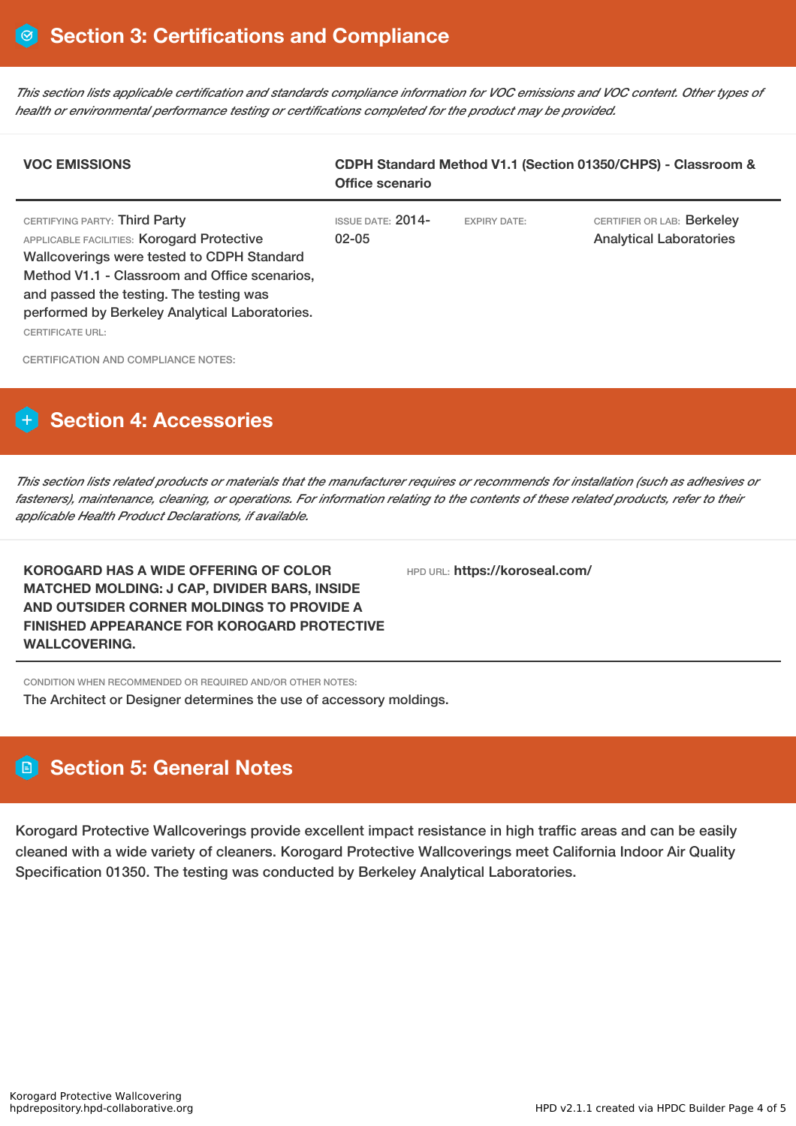This section lists applicable certification and standards compliance information for VOC emissions and VOC content. Other types of *health or environmental performance testing or certifications completed for the product may be provided.*

| <b>VOC EMISSIONS</b>                                                                                                                                                                                                                                                                                      | CDPH Standard Method V1.1 (Section 01350/CHPS) - Classroom &<br>Office scenario |                     |                                                              |  |
|-----------------------------------------------------------------------------------------------------------------------------------------------------------------------------------------------------------------------------------------------------------------------------------------------------------|---------------------------------------------------------------------------------|---------------------|--------------------------------------------------------------|--|
| CERTIFYING PARTY: Third Party<br>APPLICABLE FACILITIES: Korogard Protective<br><b>Wallcoverings were tested to CDPH Standard</b><br>Method V1.1 - Classroom and Office scenarios,<br>and passed the testing. The testing was<br>performed by Berkeley Analytical Laboratories.<br><b>CERTIFICATE URL:</b> | <b>ISSUE DATE: 2014-</b><br>$02 - 05$                                           | <b>EXPIRY DATE:</b> | CERTIFIER OR LAB: Berkeley<br><b>Analytical Laboratories</b> |  |

CERTIFICATION AND COMPLIANCE NOTES:

# **Section 4: Accessories**

This section lists related products or materials that the manufacturer requires or recommends for installation (such as adhesives or fasteners), maintenance, cleaning, or operations. For information relating to the contents of these related products, refer to their *applicable Health Product Declarations, if available.*

**KOROGARD HAS A WIDE OFFERING OF COLOR MATCHED MOLDING: J CAP, DIVIDER BARS, INSIDE AND OUTSIDER CORNER MOLDINGS TO PROVIDE A FINISHED APPEARANCE FOR KOROGARD PROTECTIVE WALLCOVERING.**

HPD URL: **https://koroseal.com/**

CONDITION WHEN RECOMMENDED OR REQUIRED AND/OR OTHER NOTES:

The Architect or Designer determines the use of accessory moldings.

# **Section 5: General Notes**

Korogard Protective Wallcoverings provide excellent impact resistance in high traffic areas and can be easily cleaned with a wide variety of cleaners. Korogard Protective Wallcoverings meet California Indoor Air Quality Specification 01350. The testing was conducted by Berkeley Analytical Laboratories.